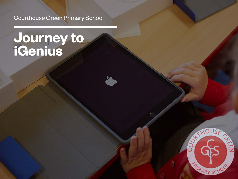### Courthouse Green Primary School

# **Journey to iGenius**



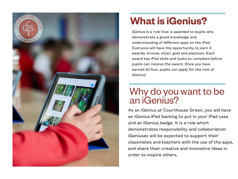

### **What is iGenius?**

iGenius is a role that is awarded to pupils who demonstrate a great knowledge and understanding of different apps on the iPad. Everyone will have the opportunity to earn 4 awards: bronze, silver, gold and platinum. Each award has iPad skills and tasks to complete before pupils can receive the award. Once you have earned all four, pupils can apply for the role of iGenius!

### Why do you want to be an iGenius?

As an iGenius at Courthouse Green, you will have an iGenius iPad backing to put in your iPad case and an iGenius badge. It is a role which demonstrates responsibility and collaboration: iGeniuses will be expected to support their classmates and teachers with the use of the apps, and share their creative and innovative ideas in order to inspire others.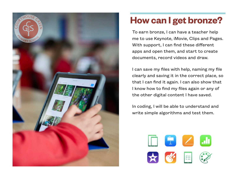

### **How can I get bronze?**

To earn bronze, I can have a teacher help me to use Keynote, iMovie, Clips and Pages. With support, I can find these different apps and open them, and start to create documents, record videos and draw.

I can save my files with help, naming my file clearly and saving it in the correct place, so that I can find it again. I can also show that I know how to find my files again or any of the other digital content I have saved.

In coding, I will be able to understand and write simple algorithms and test them.

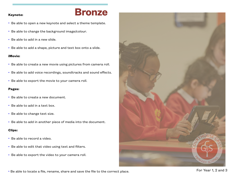### **Keynote: Bronze**

- Be able to open a new keynote and select a theme template.
- Be able to change the background image/colour.
- Be able to add in a new slide.
- Be able to add a shape, picture and text box onto a slide.

#### **iMovie:**

- Be able to create a new movie using pictures from camera roll.
- Be able to add voice recordings, soundtracks and sound effects.
- Be able to export the movie to your camera roll.

#### **Pages:**

- Be able to create a new document.
- Be able to add in a text box.
- Be able to change text size.
- Be able to add in another piece of media into the document.

#### **Clips:**

- Be able to record a video.
- Be able to edit that video using text and filters.
- Be able to export the video to your camera roll.



• Be able to locate a file, rename, share and save the file to the correct place. For Section 1, 2 and 3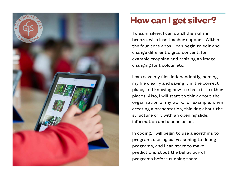

### **How can I get silver?**

To earn silver, I can do all the skills in bronze, with less teacher support. Within the four core apps, I can begin to edit and change different digital content, for example cropping and resizing an image, changing font colour etc.

I can save my files independently, naming my file clearly and saving it in the correct place, and knowing how to share it to other places. Also, I will start to think about the organisation of my work, for example, when creating a presentation, thinking about the structure of it with an opening slide, information and a conclusion.

In coding, I will begin to use algorithms to program, use logical reasoning to debug programs, and I can start to make predictions about the behaviour of programs before running them.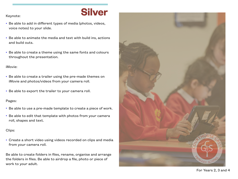### Keynote:<br>
Keynote: **Silver**

- Be able to add in different types of media (photos, videos, voice notes) to your slide.
- Be able to animate the media and text with build ins, actions and build outs.
- Be able to create a theme using the same fonts and colours throughout the presentation.

#### iMovie:

- Be able to create a trailer using the pre-made themes on iMovie and photos/videos from your camera roll.
- Be able to export the trailer to your camera roll.

#### Pages:

- Be able to use a pre-made template to create a piece of work.
- Be able to edit that template with photos from your camera roll, shapes and text.

#### Clips:

• Create a short video using videos recorded on clips and media from your camera roll.

Be able to create folders in files, rename, organise and arrange the folders in files. Be able to airdrop a file, photo or piece of work to your adult.

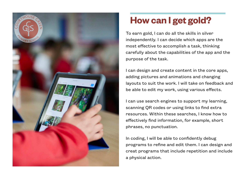

### **How can I get gold?**

To earn gold, I can do all the skills in silver independently. I can decide which apps are the most effective to accomplish a task, thinking carefully about the capabilities of the app and the purpose of the task.

I can design and create content in the core apps, adding pictures and animations and changing layouts to suit the work. I will take on feedback and be able to edit my work, using various effects.

I can use search engines to support my learning, scanning QR codes or using links to find extra resources. Within these searches, I know how to effectively find information, for example, short phrases, no punctuation.

In coding, I will be able to confidently debug programs to refine and edit them. I can design and creat programs that include repetition and include a physical action.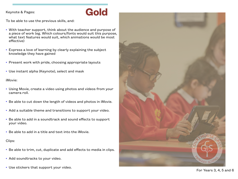### Keynote & Pages:<br> **Gold**

To be able to use the previous skills, and:

- With teacher support, think about the audience and purpose of a piece of work (eg. Which colours/fonts would suit this purpose, what text features would suit, which animations would be most effective)
- Express a love of learning by clearly explaining the subject knowledge they have gained
- Present work with pride, choosing appropriate layouts
- Use instant alpha (Keynote), select and mask

iMovie:

- Using Movie, create a video using photos and videos from your camera roll.
- Be able to cut down the length of videos and photos in iMovie.
- Add a suitable theme and transitions to support your video.
- Be able to add in a soundtrack and sound effects to support your video.
- Be able to add in a title and text into the iMovie.

Clips:

- Be able to trim, cut, duplicate and add effects to media in clips.
- Add soundtracks to your video.
- Use stickers that support your video. The example of the stickers that support your video. The example of the stickers  $3, 4, 5$  and  $6$

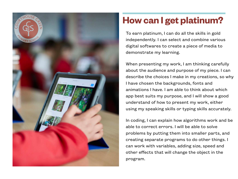

### **How can I get platinum?**

To earn platinum, I can do all the skills in gold independently. I can select and combine various digital softwares to create a piece of media to demonstrate my learning.

When presenting my work, I am thinking carefully about the audience and purpose of my piece. I can describe the choices I make in my creations, so why I have chosen the backgrounds, fonts and animations I have. I am able to think about which app best suits my purpose, and I will show a good understand of how to present my work, either using my speaking skills or typing skills accurately.

In coding, I can explain how algorithms work and be able to correct errors. I will be able to solve problems by putting them into smaller parts, and creating separate programs to do other things. I can work with variables, adding size, speed and other effects that will change the object in the program.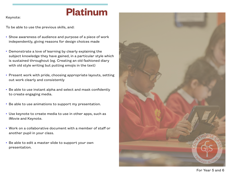# **Platinum**

Keynote:

To be able to use the previous skills, and:

- Show awareness of audience and purpose of a piece of work independently, giving reasons for design choices made
- Demonstrate a love of learning by clearly explaining the subject knowledge they have gained, in a particular style which is sustained throughout (eg. Creating an old fashioned diary with old style writing but putting emojis in the text)
- Present work with pride, choosing appropriate layouts, setting out work clearly and consistently
- Be able to use instant alpha and select and mask confidently to create engaging media.
- Be able to use animations to support my presentation.
- Use keynote to create media to use in other apps, such as iMovie and Keynote.
- Work on a collaborative document with a member of staff or another pupil in your class.
- Be able to edit a master slide to support your own presentation.



For Year 5 and 6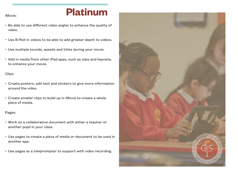## **Platinum**

- Be able to use different video angles to enhance the quality of video.
- Use B-Roll in videos to be able to add greater depth to videos.
- Use multiple sounds, speeds and titles during your movie.
- Add in media from other iPad apps, such as clips and keynote, to enhance your movie.

### Clips:

- Create posters, add text and stickers to give more information around the video.
- Create smaller clips to build up in iMovie to create a whole piece of media.

### Pages:

- Work on a collaborative document with either a teacher or another pupil in your class.
- Use pages to create a piece of media or document to be used in another app.
- Use pages as a teleprompter to support with video recording.